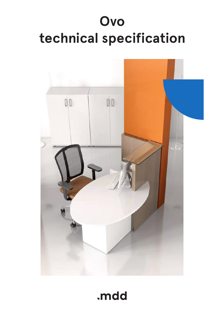# **Ovo technical specification**



# .mdd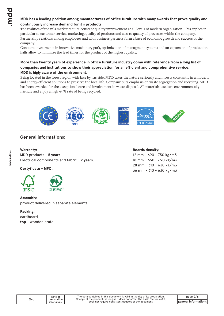#### **MDD has a leading position among manufacturers of office furniture with many awards that prove quality and continuously increase demand for it`s products.**

The realities of today`s market require constant quality improvement at all levels of modern organization. This applies in particular to customer service, marketing, quality of products and also to quality of processes within the company. Partnership relations among employees and with business partners form a base of economic growth and success of the company.

Constant investments in innovative machinery park, optimization of managment systems and an expansion of production halls allow to minimize the lead times for the product of the highest quality.

#### **More than twenty years of experience in office furniture industry come with reference from a long list of companies and institutions to show their appreciation for an efficient and comprehensive service. MDD is higly aware of the environment.**

Being located in the forest region with lake by it1s side, MDD takes the nature seriously and invests constantly in a modern and energy-efficient solutions to preserve the local life. Company puts emphasis on waste segregation and recycling. MDD has been awarded for the exceptional care and involvement in waste disposal. All materials used are environmentally friendly and enjoy a high 95 % rate of being recycled.



### **General informations:**

#### **Warranty :**

MDD products - **5 years**. Electrical components and fabric - **2 years**.

**Certyficate - MFC:**



#### **Assembly:**

product delivered in separate elements

#### **Packing:**

cardboard, **top** - wooden crate

#### **Boards density:**

12 mm - 690 - 750 kg/m3 18 mm - 650 - 690 kg/m3 28 mm - 610 - 630 kg/m3 36 mm - 610 - 630 kg/m3

preparation 02.01.2020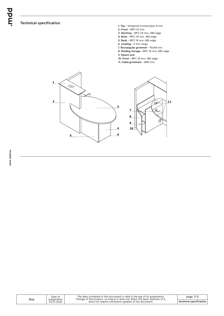### **Technical specification**

- **1. Top** tempered frosted glass 8 mm
- **2. Front** MFC 52 mm
- **3. Worktop** MFC 28 mm, ABS edge
- **4. Body** MFC 28 mm, ABS edge
- **5. Body** MFC 18 mm, ABS edge
- **6. Leveling** 5 mm range
- **7. Rectangular grommet** 90x48 mm
- **8. Dividing storage** MFC 18 mm, ABS edge
- **9. Patent lock**
- **10. Front** MFC 18 mm, ABS edge
- **11. Cable grommets** Ø80 mm



| Ovo | Date of<br>preparation | The data contained in this document is valid in the day of its preparation.<br>Change of the product, as long as it does not affect the basic features of it, | page $3/6$                                                   |
|-----|------------------------|---------------------------------------------------------------------------------------------------------------------------------------------------------------|--------------------------------------------------------------|
|     | 02.01.2020             | does not require consistent updates of the document.                                                                                                          | $^{\prime}$ technical specification $\overline{\phantom{a}}$ |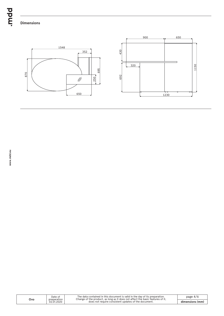bpur.

# **Dimensions**



| Ovo | Date of<br>preparation<br>02.01.2020 | The data contained in this document is valid in the day of its preparation.<br>Change of the product, as long as it does not affect the basic features of it, | page $4/6$      |
|-----|--------------------------------------|---------------------------------------------------------------------------------------------------------------------------------------------------------------|-----------------|
|     |                                      | does not require consistent updates of the document.                                                                                                          | dimensions (mm) |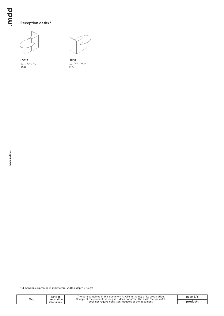# **Reception desks \***



1550 / 870 / 1150 **LOP10** 93 kg



**LOL10** 1550 / 870 / 1150 93 kg

\* dimensions expressed in millimeters: width x depth x height

| Ovo | Date of<br>preparation<br>02.01.2020 | The data contained in this document is valid in the day of its preparation.<br>Change of the product, as long as it does not affect the basic features of it, | page $5/t$ |
|-----|--------------------------------------|---------------------------------------------------------------------------------------------------------------------------------------------------------------|------------|
|     |                                      | does not require consistent updates of the document.                                                                                                          | product:   |